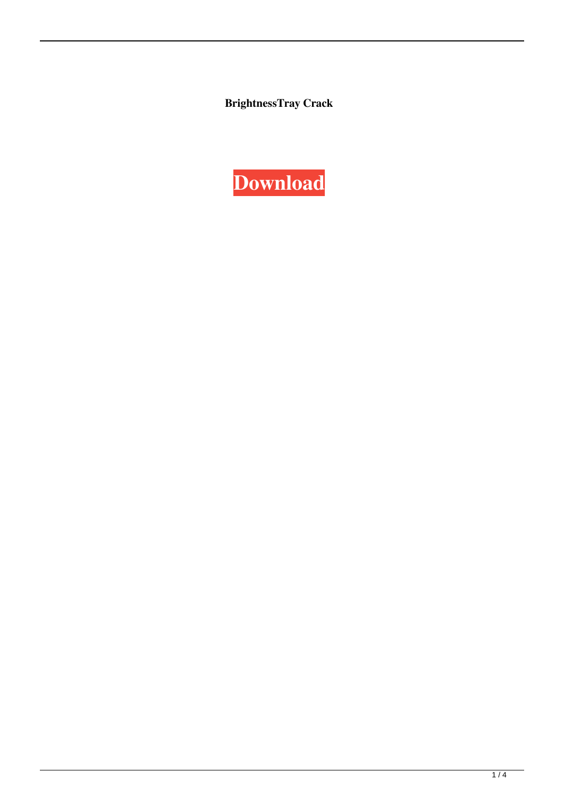**BrightnessTray Crack**

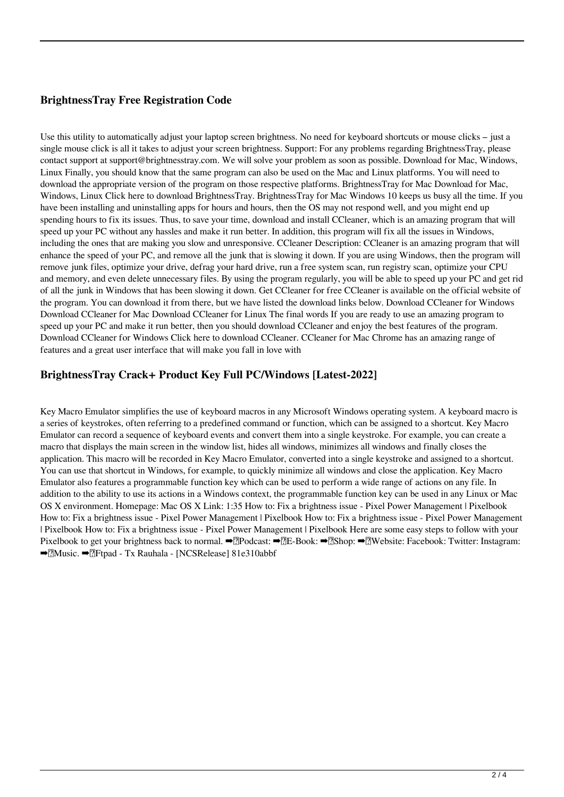# **BrightnessTray Free Registration Code**

Use this utility to automatically adjust your laptop screen brightness. No need for keyboard shortcuts or mouse clicks – just a single mouse click is all it takes to adjust your screen brightness. Support: For any problems regarding BrightnessTray, please contact support at support@brightnesstray.com. We will solve your problem as soon as possible. Download for Mac, Windows, Linux Finally, you should know that the same program can also be used on the Mac and Linux platforms. You will need to download the appropriate version of the program on those respective platforms. BrightnessTray for Mac Download for Mac, Windows, Linux Click here to download BrightnessTray. BrightnessTray for Mac Windows 10 keeps us busy all the time. If you have been installing and uninstalling apps for hours and hours, then the OS may not respond well, and you might end up spending hours to fix its issues. Thus, to save your time, download and install CCleaner, which is an amazing program that will speed up your PC without any hassles and make it run better. In addition, this program will fix all the issues in Windows, including the ones that are making you slow and unresponsive. CCleaner Description: CCleaner is an amazing program that will enhance the speed of your PC, and remove all the junk that is slowing it down. If you are using Windows, then the program will remove junk files, optimize your drive, defrag your hard drive, run a free system scan, run registry scan, optimize your CPU and memory, and even delete unnecessary files. By using the program regularly, you will be able to speed up your PC and get rid of all the junk in Windows that has been slowing it down. Get CCleaner for free CCleaner is available on the official website of the program. You can download it from there, but we have listed the download links below. Download CCleaner for Windows Download CCleaner for Mac Download CCleaner for Linux The final words If you are ready to use an amazing program to speed up your PC and make it run better, then you should download CCleaner and enjoy the best features of the program. Download CCleaner for Windows Click here to download CCleaner. CCleaner for Mac Chrome has an amazing range of features and a great user interface that will make you fall in love with

## **BrightnessTray Crack+ Product Key Full PC/Windows [Latest-2022]**

Key Macro Emulator simplifies the use of keyboard macros in any Microsoft Windows operating system. A keyboard macro is a series of keystrokes, often referring to a predefined command or function, which can be assigned to a shortcut. Key Macro Emulator can record a sequence of keyboard events and convert them into a single keystroke. For example, you can create a macro that displays the main screen in the window list, hides all windows, minimizes all windows and finally closes the application. This macro will be recorded in Key Macro Emulator, converted into a single keystroke and assigned to a shortcut. You can use that shortcut in Windows, for example, to quickly minimize all windows and close the application. Key Macro Emulator also features a programmable function key which can be used to perform a wide range of actions on any file. In addition to the ability to use its actions in a Windows context, the programmable function key can be used in any Linux or Mac OS X environment. Homepage: Mac OS X Link: 1:35 How to: Fix a brightness issue - Pixel Power Management | Pixelbook How to: Fix a brightness issue - Pixel Power Management | Pixelbook How to: Fix a brightness issue - Pixel Power Management | Pixelbook How to: Fix a brightness issue - Pixel Power Management | Pixelbook Here are some easy steps to follow with your Pixelbook to get your brightness back to normal. ➡️Podcast: ➡️E-Book: ➡️Shop: ➡️Website: Facebook: Twitter: Instagram: ➡️Music. ➡️Ftpad - Tx Rauhala - [NCSRelease] 81e310abbf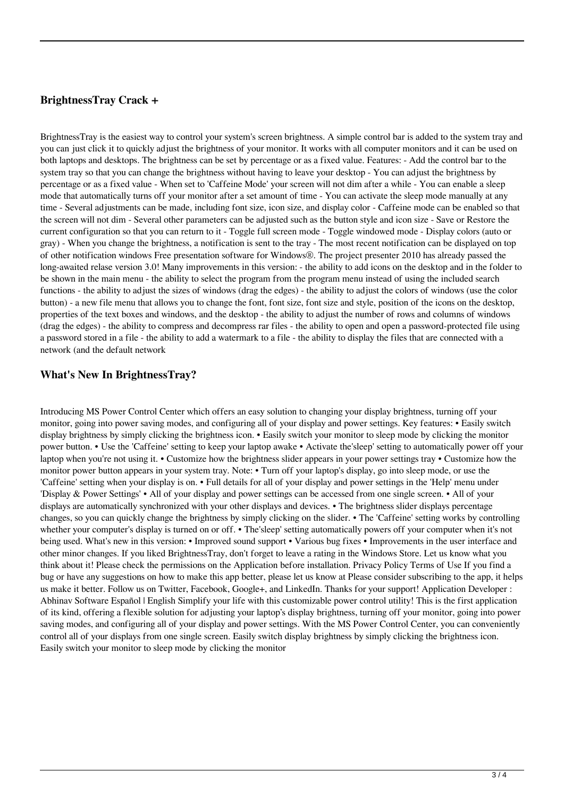## **BrightnessTray Crack +**

BrightnessTray is the easiest way to control your system's screen brightness. A simple control bar is added to the system tray and you can just click it to quickly adjust the brightness of your monitor. It works with all computer monitors and it can be used on both laptops and desktops. The brightness can be set by percentage or as a fixed value. Features: - Add the control bar to the system tray so that you can change the brightness without having to leave your desktop - You can adjust the brightness by percentage or as a fixed value - When set to 'Caffeine Mode' your screen will not dim after a while - You can enable a sleep mode that automatically turns off your monitor after a set amount of time - You can activate the sleep mode manually at any time - Several adjustments can be made, including font size, icon size, and display color - Caffeine mode can be enabled so that the screen will not dim - Several other parameters can be adjusted such as the button style and icon size - Save or Restore the current configuration so that you can return to it - Toggle full screen mode - Toggle windowed mode - Display colors (auto or gray) - When you change the brightness, a notification is sent to the tray - The most recent notification can be displayed on top of other notification windows Free presentation software for Windows®. The project presenter 2010 has already passed the long-awaited relase version 3.0! Many improvements in this version: - the ability to add icons on the desktop and in the folder to be shown in the main menu - the ability to select the program from the program menu instead of using the included search functions - the ability to adjust the sizes of windows (drag the edges) - the ability to adjust the colors of windows (use the color button) - a new file menu that allows you to change the font, font size, font size and style, position of the icons on the desktop, properties of the text boxes and windows, and the desktop - the ability to adjust the number of rows and columns of windows (drag the edges) - the ability to compress and decompress rar files - the ability to open and open a password-protected file using a password stored in a file - the ability to add a watermark to a file - the ability to display the files that are connected with a network (and the default network

## **What's New In BrightnessTray?**

Introducing MS Power Control Center which offers an easy solution to changing your display brightness, turning off your monitor, going into power saving modes, and configuring all of your display and power settings. Key features: • Easily switch display brightness by simply clicking the brightness icon. • Easily switch your monitor to sleep mode by clicking the monitor power button. • Use the 'Caffeine' setting to keep your laptop awake • Activate the'sleep' setting to automatically power off your laptop when you're not using it. • Customize how the brightness slider appears in your power settings tray • Customize how the monitor power button appears in your system tray. Note: • Turn off your laptop's display, go into sleep mode, or use the 'Caffeine' setting when your display is on. • Full details for all of your display and power settings in the 'Help' menu under 'Display & Power Settings' • All of your display and power settings can be accessed from one single screen. • All of your displays are automatically synchronized with your other displays and devices. • The brightness slider displays percentage changes, so you can quickly change the brightness by simply clicking on the slider. • The 'Caffeine' setting works by controlling whether your computer's display is turned on or off. • The'sleep' setting automatically powers off your computer when it's not being used. What's new in this version: • Improved sound support • Various bug fixes • Improvements in the user interface and other minor changes. If you liked BrightnessTray, don't forget to leave a rating in the Windows Store. Let us know what you think about it! Please check the permissions on the Application before installation. Privacy Policy Terms of Use If you find a bug or have any suggestions on how to make this app better, please let us know at Please consider subscribing to the app, it helps us make it better. Follow us on Twitter, Facebook, Google+, and LinkedIn. Thanks for your support! Application Developer : Abhinav Software Español | English Simplify your life with this customizable power control utility! This is the first application of its kind, offering a flexible solution for adjusting your laptop's display brightness, turning off your monitor, going into power saving modes, and configuring all of your display and power settings. With the MS Power Control Center, you can conveniently control all of your displays from one single screen. Easily switch display brightness by simply clicking the brightness icon. Easily switch your monitor to sleep mode by clicking the monitor